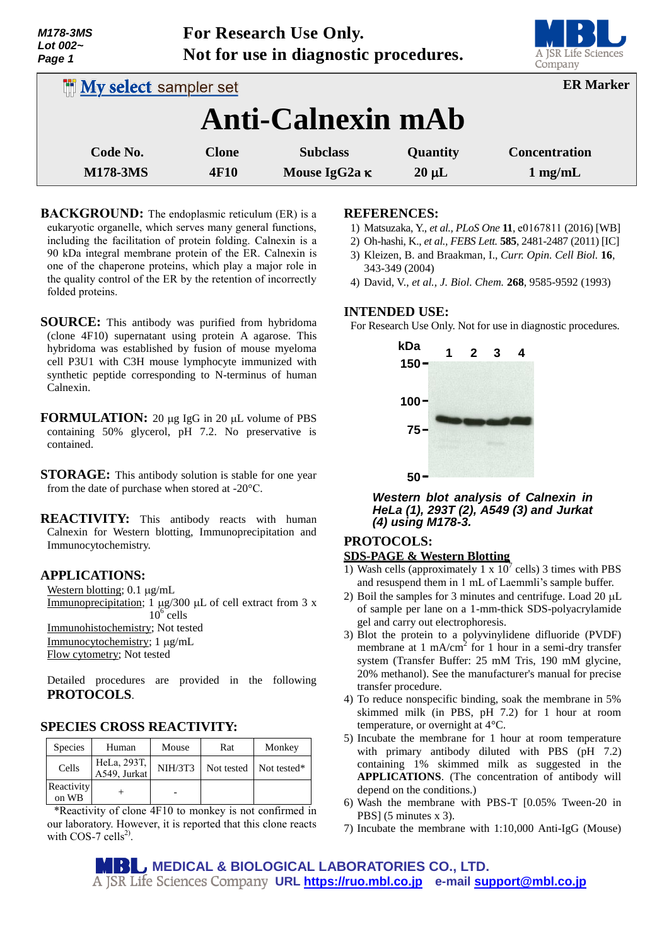| Lot 002~<br>Page 1              | Not for use in diagnostic procedures. |                                  |                        | 51 C<br>A JSR Life Sciences<br>Company    |
|---------------------------------|---------------------------------------|----------------------------------|------------------------|-------------------------------------------|
| <b>In My select sampler set</b> | <b>ER Marker</b>                      |                                  |                        |                                           |
|                                 |                                       | <b>Anti-Calnexin mAb</b>         |                        |                                           |
| Code No.<br><b>M178-3MS</b>     | <b>Clone</b><br><b>4F10</b>           | <b>Subclass</b><br>Mouse IgG2a K | Quantity<br>$20 \mu L$ | <b>Concentration</b><br>$1 \text{ mg/mL}$ |

**For Research Use Only.**

- **BACKGROUND:** The endoplasmic reticulum (ER) is a eukaryotic organelle, which serves many general functions, including the facilitation of protein folding. Calnexin is a 90 kDa integral membrane protein of the ER. Calnexin is one of the chaperone proteins, which play a major role in the quality control of the ER by the retention of incorrectly folded proteins.
- **SOURCE:** This antibody was purified from hybridoma (clone 4F10) supernatant using protein A agarose. This hybridoma was established by fusion of mouse myeloma cell P3U1 with C3H mouse lymphocyte immunized with synthetic peptide corresponding to N-terminus of human Calnexin.
- **FORMULATION:** 20 µg IgG in 20 µL volume of PBS containing 50% glycerol, pH 7.2. No preservative is contained.
- **STORAGE:** This antibody solution is stable for one year from the date of purchase when stored at -20°C.
- **REACTIVITY:** This antibody reacts with human Calnexin for Western blotting, Immunoprecipitation and Immunocytochemistry.

## **APPLICATIONS:**

*M178-3MS*

Western blotting;  $0.1 \mu g/mL$ Immunoprecipitation;  $1 \mu g/300 \mu L$  of cell extract from 3 x  $10^6$  cells Immunohistochemistry; Not tested Immunocytochemistry; 1 µg/mL Flow cytometry; Not tested

Detailed procedures are provided in the following **PROTOCOLS**.

## **SPECIES CROSS REACTIVITY:**

| <b>Species</b>      | Human                       | Mouse          | Rat | Monkey                   |
|---------------------|-----------------------------|----------------|-----|--------------------------|
| Cells               | HeLa, 293T,<br>A549, Jurkat | <b>NIH/3T3</b> |     | Not tested   Not tested* |
| Reactivity<br>on WB |                             |                |     |                          |

\*Reactivity of clone 4F10 to monkey is not confirmed in our laboratory. However, it is reported that this clone reacts with COS-7 cells<sup>2)</sup>.

#### **REFERENCES:**

- 1) Matsuzaka, Y., *et al., PLoS One* **11**, e0167811 (2016) [WB]
- 2) Oh-hashi, K., *et al., FEBS Lett.* **585**, 2481-2487 (2011) [IC]
- 3) Kleizen, B. and Braakman, I., *Curr. Opin. Cell Biol.* **16**, 343-349 (2004)
- 4) David, V., *et al., J. Biol. Chem.* **268**, 9585-9592 (1993)

## **INTENDED USE:**

For Research Use Only. Not for use in diagnostic procedures.



*Western blot analysis of Calnexin in HeLa (1), 293T (2), A549 (3) and Jurkat (4) using M178-3.*

## **PROTOCOLS:**

#### **SDS-PAGE & Western Blotting**

- 1) Wash cells (approximately 1 x  $10^7$  cells) 3 times with PBS and resuspend them in 1 mL of Laemmli's sample buffer.
- 2) Boil the samples for 3 minutes and centrifuge. Load  $20 \mu L$ of sample per lane on a 1-mm-thick SDS-polyacrylamide gel and carry out electrophoresis.
- 3) Blot the protein to a polyvinylidene difluoride (PVDF) membrane at  $1 \text{ mA/cm}^2$  for 1 hour in a semi-dry transfer system (Transfer Buffer: 25 mM Tris, 190 mM glycine, 20% methanol). See the manufacturer's manual for precise transfer procedure.
- 4) To reduce nonspecific binding, soak the membrane in 5% skimmed milk (in PBS, pH 7.2) for 1 hour at room temperature, or overnight at 4°C.
- 5) Incubate the membrane for 1 hour at room temperature with primary antibody diluted with PBS (pH 7.2) containing 1% skimmed milk as suggested in the **APPLICATIONS**. (The concentration of antibody will depend on the conditions.)
- 6) Wash the membrane with PBS-T [0.05% Tween-20 in PBS] (5 minutes x 3).
- 7) Incubate the membrane with 1:10,000 Anti-IgG (Mouse)